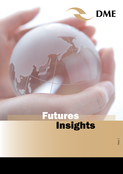

## Insights Futures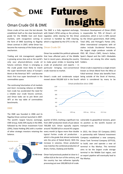

# Insights Futures

### Oman Crude Oil & DME

established itself as the clear benchmark with Dubai's DFSA acting as the primary is responsible for 70% of Oman's oil grade for the Middle East and Asian regulator, while clearing for the Oman markets, with recognition coming in contract is handled by CME Clearing, the form of DME launching its flagship which is regulated by the CFTC in the US. Oman contract in 2007, while Oman has become the mainstay of the Dubai pricing **Oman Crude Oil**  mechanism.

Trading and risk management appetite that have affected parts of the Middle is growing across Asia and as the world's East in recent years, allowing the country only sour physical-delivery crude oil to make great strides in boosting both futures contract, Oman is emerging as crude oil production and exports – in the crude grade most likely to match particular bringing non-conventional Oman crude is exported as a single stream the super benchmark status of Europe's crude reserves to market. Brent or the Americas' WTI – and become commodities space.

The continuing futurization of oil markets and Asia's increasing reliance on Middle East crude has accelerated the need for a reliable sour crude futures contract, and Oman looks set to join Brent and WTI at the top table of commodities benchmarks.

#### **DME**

The DME was founded in 2006 and its flagship Oman contract launched in 2007. The world's largest futures exchange, CME Group, holds 50% equity in the DME, followed by the Oman Investment Fund (29%), Dubai Holding (9%) with a number of other strategic investors retaining the balance.



Oman has avoided the political upheavals

Oman crude oil has over the last decade The DME is a fully regulated exchange, Petroleum Development of Oman (PDO) production, which is turn is 60% owned by the Omani government, Shell (34%), Total (4%), and Portugal's Partex (2%). Other international companies with oil stakes include Occidental Petroleum, the largest single producer outside of PDO. BP, China's CNPC, Korea's KoGas, Spain's Repsol and the UAE's Mubadala Petroleum, are among the other equity holders.

> known as Oman Blend from the Mina al Fahal terminal. Oman also benefits from

Asia's first true super benchmark in the Oman's crude and condensate output being outside of the Strait of Hormuz, moved above 950,000 b/d in the fourth which is considered by many to be



from 2007 production levels of just above its position as the world's busiest oil 700,000 b/d. Oman typically exports around 750,000 b/d or around 45 cargoes every month (a figure more than double typical Forties crude oil production which is the grade that almost exclusively sets the price of Dated Brent). With the increase in volumes, Oman production now matches the combined production of Brent, Forties, Oseberg and Ekofisk.

Oman had previously peaked at close to 1 million b/d at the turn of the century, and the country has two refineries typically processing just over 200,000 b/d of crude.

quarter of 2013, marking a significant rise vulnerable to geopolitical tensions, given transport route.

> In 2013, the Oman Oil Company (OOC) in partnership with Takamul Investment Company established a new company, Oman Tank Terminal Company (OTTCO), to build, own and operate a new oil terminal in Ras Markaz. This terminal aims to be the largest crude storage terminal in the Middle East region, and an export pipeline will eventually lead to Raz Markaz.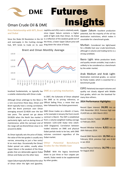## Futures **DME** Insights Oman Crude Oil & DME

**Price Relationship with WTI, Brent**  naphtha and LPG) crack is relatively weak, **and Dubai**

since Upper Zakum contains a higher yield of light ends than Oman. As Dubai

Since the Shale Oil Revolution in the US is a reflection of the weakest grade out of and oversupply in the Cushing storage the three, a lower Upper Zakum price will hub, WTI tends to trade on its own drag down the value of Dubai.



localized fundamentals, so typically has **DME as a pricing mechanism.**  a volatile relationship with Oman crude.

Brent typically have a strong correlation, later followed by the Dubai government. with the Brent premium over Oman around \$1.00/bl.

the value of the two grades is usually very Dubai market. narrow, amounting to just a few cents/ bl on most days. Occasionally the Oman/ Other Dubai spread can widen, usually when **Grades for the Middle East** Upper Zakum is the weakest of the three (Oman and Dubai are the other two).

Upper Zakum typically falls below the value by other grades. of Oman when the light end (gasoline,

Although Oman arbitrage to the West is the DME as its pricing reference, or a rare occurrence these days, Oman and Official Selling Price, a move that was In 2007, the Sultanate of Oman adopted

averaging around \$2.40/bl over the last DME Oman trades on a Month +2 basis, two years. The spread can go above soforexample in January the front-month \$4.00/bl when the North Sea market is contract is March. The OSP is established particularly tight, such as during times of from a volume-weighted trading average maintenance, while the narrower end of between 1225-1230 Dubai time (1625 the range will see Brent/Oman close in to 1630 Singapore). Correlation between As Oman typically sets the price of Dubai, volumes consistent regardless of the traded volumes on DME and physical Dubai partials tends to be low, with DME

## **Potential Benchmark**

grades that are deliverable against Dubai Dubai: With the legacy benchmark down to just three or four cargoes per month, Dubai needs to be supplemented

Upper Zakum: Excellent production potential, but the majority of the oil has destination restrictions, which makes it unsuitable for a benchmark grade.

Murban: Considered too light/sweet for a Middle East sour crude benchmark, although in volume and trading terms is a strong candidate.

Basra Light: While production levels and quality remain unstable, Iraqi crude is unlikely to be considered as a benchmark by the wider market.

Arab Medium and Arab Light: Destination restricted grades, so cannot be freely traded, which is essential for a benchmark grade

ESPO: Relatively low export volumes and quality not closely aligned with Middle East grades, which are the baseload for many Asia refiners.

### **2014 Performance Highlights:**

Record Open Interest: **24,391** lots on 25th November 2013. Previous high was 23,429 lots on 26th March 2013

Record Volume Traded: **14,039** lots on 12 February 2014.

Record Window Volume: **6,511** lots on 26th February 2014.

Overall DME Record ADV: **10,764** lots in February 2014, previous high was 8,162 in Jan 2014

Record Physical Delivery: **16,770** in June for August 2013